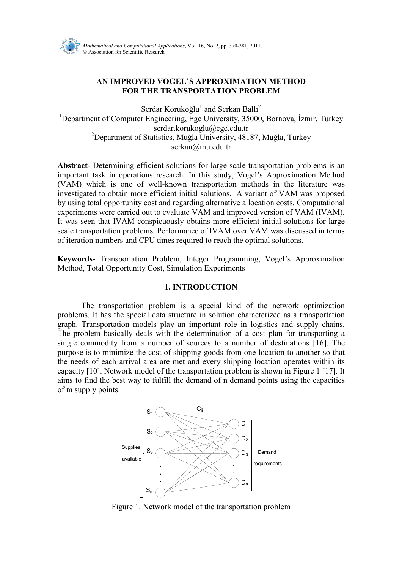

# AN IMPROVED VOGEL'S APPROXIMATION METHOD FOR THE TRANSPORTATION PROBLEM

Serdar Korukoğlu $^{\rm l}$  and Serkan Ballı $^{\rm 2}$ <sup>1</sup>Department of Computer Engineering, Ege University, 35000, Bornova, İzmir, Turkey serdar.korukoglu@ege.edu.tr <sup>2</sup>Department of Statistics, Muğla University, 48187, Muğla, Turkey serkan@mu.edu.tr

Abstract- Determining efficient solutions for large scale transportation problems is an important task in operations research. In this study, Vogel's Approximation Method (VAM) which is one of well-known transportation methods in the literature was investigated to obtain more efficient initial solutions. A variant of VAM was proposed by using total opportunity cost and regarding alternative allocation costs. Computational experiments were carried out to evaluate VAM and improved version of VAM (IVAM). It was seen that IVAM conspicuously obtains more efficient initial solutions for large scale transportation problems. Performance of IVAM over VAM was discussed in terms of iteration numbers and CPU times required to reach the optimal solutions.

Keywords- Transportation Problem, Integer Programming, Vogel's Approximation Method, Total Opportunity Cost, Simulation Experiments

## 1. INTRODUCTION

 The transportation problem is a special kind of the network optimization problems. It has the special data structure in solution characterized as a transportation graph. Transportation models play an important role in logistics and supply chains. The problem basically deals with the determination of a cost plan for transporting a single commodity from a number of sources to a number of destinations [16]. The purpose is to minimize the cost of shipping goods from one location to another so that the needs of each arrival area are met and every shipping location operates within its capacity [10]. Network model of the transportation problem is shown in Figure 1 [17]. It aims to find the best way to fulfill the demand of n demand points using the capacities of m supply points.



Figure 1. Network model of the transportation problem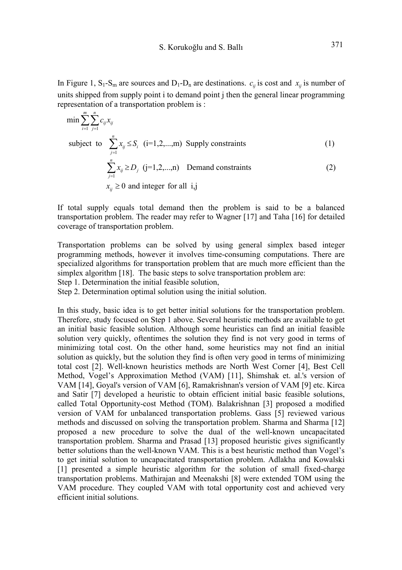In Figure 1,  $S_1-S_m$  are sources and  $D_1-D_n$  are destinations.  $c_{ij}$  is cost and  $x_{ij}$  is number of units shipped from supply point i to demand point j then the general linear programming representation of a transportation problem is :

$$
\min \sum_{i=1}^{m} \sum_{j=1}^{n} c_{ij} x_{ij}
$$
\nsubject to 
$$
\sum_{j=1}^{n} x_{ij} \le S_i \quad (i=1,2,...,m) \text{ Supply constraints}
$$
\n(1)\n
$$
\sum_{j=1}^{n} x_{ij} \ge D_j \quad (j=1,2,...,n) \text{ Demand constraints}
$$
\n(2)\n
$$
x_{ij} \ge 0 \text{ and integer for all } i,j
$$

If total supply equals total demand then the problem is said to be a balanced transportation problem. The reader may refer to Wagner [17] and Taha [16] for detailed coverage of transportation problem.

Transportation problems can be solved by using general simplex based integer programming methods, however it involves time-consuming computations. There are specialized algorithms for transportation problem that are much more efficient than the simplex algorithm [18]. The basic steps to solve transportation problem are:

Step 1. Determination the initial feasible solution,

Step 2. Determination optimal solution using the initial solution.

In this study, basic idea is to get better initial solutions for the transportation problem. Therefore, study focused on Step 1 above. Several heuristic methods are available to get an initial basic feasible solution. Although some heuristics can find an initial feasible solution very quickly, oftentimes the solution they find is not very good in terms of minimizing total cost. On the other hand, some heuristics may not find an initial solution as quickly, but the solution they find is often very good in terms of minimizing total cost [2]. Well-known heuristics methods are North West Corner [4], Best Cell Method, Vogel's Approximation Method (VAM) [11], Shimshak et. al.'s version of VAM [14], Goyal's version of VAM [6], Ramakrishnan's version of VAM [9] etc. Kirca and Satir [7] developed a heuristic to obtain efficient initial basic feasible solutions, called Total Opportunity-cost Method (TOM). Balakrishnan [3] proposed a modified version of VAM for unbalanced transportation problems. Gass [5] reviewed various methods and discussed on solving the transportation problem. Sharma and Sharma [12] proposed a new procedure to solve the dual of the well-known uncapacitated transportation problem. Sharma and Prasad [13] proposed heuristic gives significantly better solutions than the well-known VAM. This is a best heuristic method than Vogel's to get initial solution to uncapacitated transportation problem. Adlakha and Kowalski [1] presented a simple heuristic algorithm for the solution of small fixed-charge transportation problems. Mathirajan and Meenakshi [8] were extended TOM using the VAM procedure. They coupled VAM with total opportunity cost and achieved very efficient initial solutions.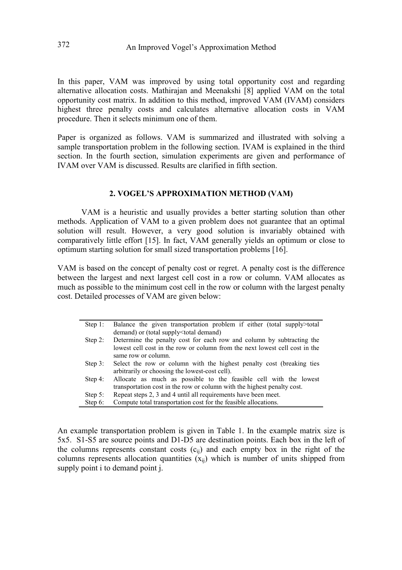In this paper, VAM was improved by using total opportunity cost and regarding alternative allocation costs. Mathirajan and Meenakshi [8] applied VAM on the total opportunity cost matrix. In addition to this method, improved VAM (IVAM) considers highest three penalty costs and calculates alternative allocation costs in VAM procedure. Then it selects minimum one of them.

Paper is organized as follows. VAM is summarized and illustrated with solving a sample transportation problem in the following section. IVAM is explained in the third section. In the fourth section, simulation experiments are given and performance of IVAM over VAM is discussed. Results are clarified in fifth section.

## 2. VOGEL'S APPROXIMATION METHOD (VAM)

VAM is a heuristic and usually provides a better starting solution than other methods. Application of VAM to a given problem does not guarantee that an optimal solution will result. However, a very good solution is invariably obtained with comparatively little effort [15]. In fact, VAM generally yields an optimum or close to optimum starting solution for small sized transportation problems [16].

VAM is based on the concept of penalty cost or regret. A penalty cost is the difference between the largest and next largest cell cost in a row or column. VAM allocates as much as possible to the minimum cost cell in the row or column with the largest penalty cost. Detailed processes of VAM are given below:

| Step $1$ : | Balance the given transportation problem if either (total supply>total<br>demand) or (total supply <total demand)<="" th=""></total>                                        |
|------------|-----------------------------------------------------------------------------------------------------------------------------------------------------------------------------|
| Step 2:    | Determine the penalty cost for each row and column by subtracting the<br>lowest cell cost in the row or column from the next lowest cell cost in the<br>same row or column. |
| Step $3$ : | Select the row or column with the highest penalty cost (breaking ties<br>arbitrarily or choosing the lowest-cost cell).                                                     |
| Step 4:    | Allocate as much as possible to the feasible cell with the lowest<br>transportation cost in the row or column with the highest penalty cost.                                |
| Step $5$ : | Repeat steps 2, 3 and 4 until all requirements have been meet.                                                                                                              |
| Step $6$ : | Compute total transportation cost for the feasible allocations.                                                                                                             |

An example transportation problem is given in Table 1. In the example matrix size is 5x5. S1-S5 are source points and D1-D5 are destination points. Each box in the left of the columns represents constant costs  $(c_{ii})$  and each empty box in the right of the columns represents allocation quantities  $(x_{ii})$  which is number of units shipped from supply point i to demand point j.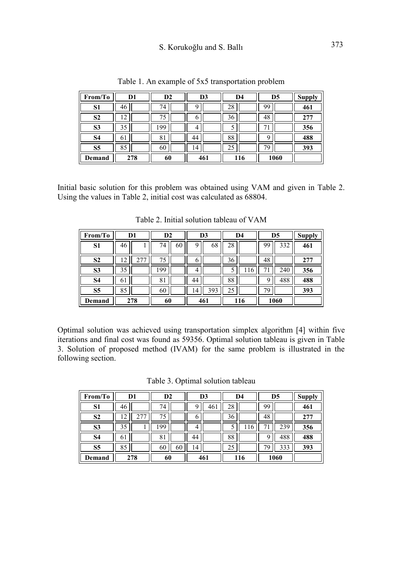# S. Korukoğlu and S. Ballı 373

| From/To        | D1  | D <sub>2</sub> | D3  | D <sub>4</sub> | D <sub>5</sub> | <b>Supply</b> |
|----------------|-----|----------------|-----|----------------|----------------|---------------|
| S1             | 46  | 74             | q   | 28             | 99             | 461           |
| S <sub>2</sub> | 7   | 75             | 0   | 36             | 48             | 277           |
| S <sub>3</sub> | 35  | 99             | 4   |                |                | 356           |
| S4             | 61  | 81             | 44  | 88             |                | 488           |
| S <sub>5</sub> | 85  | 60             | ' 4 | 25             | 79             | 393           |
| Demand         | 278 | 60             | 461 | 116            | 1060           |               |

Table 1. An example of 5x5 transportation problem

Initial basic solution for this problem was obtained using VAM and given in Table 2. Using the values in Table 2, initial cost was calculated as 68804.

| From/To        |    | D <sub>1</sub> | D <sub>2</sub> |    |    | D <sub>3</sub> |    | D <sub>4</sub> |    | D <sub>5</sub> | <b>Supply</b> |
|----------------|----|----------------|----------------|----|----|----------------|----|----------------|----|----------------|---------------|
| S1             | 46 |                | 74             | 60 | q  | 68             | 28 |                | 99 | 332            | 461           |
| S <sub>2</sub> | 2  |                | 75             |    | 6  |                | 36 |                | 48 |                | 277           |
| S <sub>3</sub> | 35 |                | 99             |    | 4  |                |    | 116            |    | 240            | 356           |
| S4             | 61 |                | 81             |    | 44 |                | 88 |                | q  | 488            | 488           |
| S5             | 85 |                | 60             |    | 4  | 393            | 25 |                | 7y |                | 393           |
| Demand         |    | 278            | 60             |    |    | 461            |    | 116            |    | 1060           |               |

Table 2. Initial solution tableau of VAM

Optimal solution was achieved using transportation simplex algorithm [4] within five iterations and final cost was found as 59356. Optimal solution tableau is given in Table 3. Solution of proposed method (IVAM) for the same problem is illustrated in the following section.

Table 3. Optimal solution tableau

| From/To        |        | D1  | $\mathbf{D2}$ |    |    | D3  |    | D <sub>4</sub> |    | D <sub>5</sub> | <b>Supply</b> |
|----------------|--------|-----|---------------|----|----|-----|----|----------------|----|----------------|---------------|
| S1             | 46     |     | 74            |    | ч  | 46  | 28 |                | 99 |                | 461           |
| S <sub>2</sub> | Γ<br>↵ |     | 75            |    | 0  |     | 36 |                | 48 |                | 277           |
| S <sub>3</sub> | 35     |     | 99            |    | 4  |     |    | 6              |    | 239            | 356           |
| <b>S4</b>      | 61     |     | 8             |    | 44 |     | 88 |                |    | 488            | 488           |
| S <sub>5</sub> | 85     |     | 60            | 60 | 4  |     | 25 |                | 79 | 333            | 393           |
| Demand         |        | 278 | 60            |    |    | 461 |    | 116            |    | 1060           |               |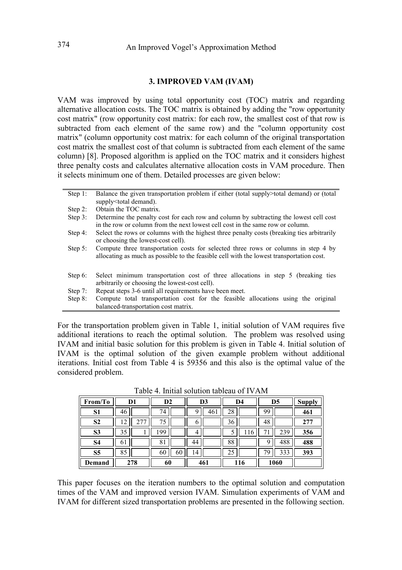#### 3. IMPROVED VAM (IVAM)

VAM was improved by using total opportunity cost (TOC) matrix and regarding alternative allocation costs. The TOC matrix is obtained by adding the "row opportunity cost matrix" (row opportunity cost matrix: for each row, the smallest cost of that row is subtracted from each element of the same row) and the "column opportunity cost matrix" (column opportunity cost matrix: for each column of the original transportation cost matrix the smallest cost of that column is subtracted from each element of the same column) [8]. Proposed algorithm is applied on the TOC matrix and it considers highest three penalty costs and calculates alternative allocation costs in VAM procedure. Then it selects minimum one of them. Detailed processes are given below:

| Step 1:    | Balance the given transportation problem if either (total supply>total demand) or (total<br>supply <total demand).<="" th=""></total>                                          |
|------------|--------------------------------------------------------------------------------------------------------------------------------------------------------------------------------|
| Step 2:    | Obtain the TOC matrix.                                                                                                                                                         |
| Step $3$ : | Determine the penalty cost for each row and column by subtracting the lowest cell cost<br>in the row or column from the next lowest cell cost in the same row or column.       |
| Step 4:    | Select the rows or columns with the highest three penalty costs (breaking ties arbitrarily<br>or choosing the lowest-cost cell).                                               |
| Step $5$ : | Compute three transportation costs for selected three rows or columns in step 4 by<br>allocating as much as possible to the feasible cell with the lowest transportation cost. |
| Step $6$ : | Select minimum transportation cost of three allocations in step 5 (breaking ties<br>arbitrarily or choosing the lowest-cost cell).                                             |
| Step $7:$  | Repeat steps 3-6 until all requirements have been meet.                                                                                                                        |
| Step $8$ : | Compute total transportation cost for the feasible allocations using the original<br>balanced-transportation cost matrix.                                                      |

For the transportation problem given in Table 1, initial solution of VAM requires five additional iterations to reach the optimal solution. The problem was resolved using IVAM and initial basic solution for this problem is given in Table 4. Initial solution of IVAM is the optimal solution of the given example problem without additional iterations. Initial cost from Table 4 is 59356 and this also is the optimal value of the considered problem.

| From/To        | D1             | D <sub>2</sub> | D3       | D4  | D5        | <b>Supply</b> |
|----------------|----------------|----------------|----------|-----|-----------|---------------|
| S <sub>1</sub> | 46             | 74             | Q<br>461 | 28  | 99        | 461           |
| S <sub>2</sub> | $\overline{2}$ | 75             | 0        | 36  | 48        | 277           |
| S3             | 35             | 99             | 4        | b   | 239       | 356           |
| S4             | 61             | 81             | 44       | 88  | 488<br>Q  | 488           |
| S <sub>5</sub> | 85             | 60<br>60       | 14       | 25  | 333<br>79 | 393           |
| Demand         | 278            | 60             | 461      | 116 | 1060      |               |

Table 4. Initial solution tableau of IVAM

This paper focuses on the iteration numbers to the optimal solution and computation times of the VAM and improved version IVAM. Simulation experiments of VAM and IVAM for different sized transportation problems are presented in the following section.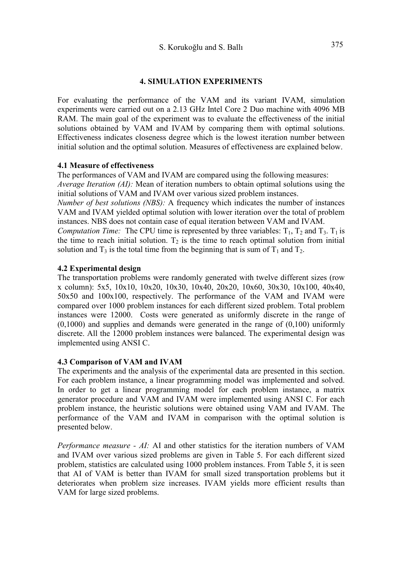## 4. SIMULATION EXPERIMENTS

For evaluating the performance of the VAM and its variant IVAM, simulation experiments were carried out on a 2.13 GHz Intel Core 2 Duo machine with 4096 MB RAM. The main goal of the experiment was to evaluate the effectiveness of the initial solutions obtained by VAM and IVAM by comparing them with optimal solutions. Effectiveness indicates closeness degree which is the lowest iteration number between initial solution and the optimal solution. Measures of effectiveness are explained below.

## 4.1 Measure of effectiveness

The performances of VAM and IVAM are compared using the following measures:

Average Iteration (AI): Mean of iteration numbers to obtain optimal solutions using the initial solutions of VAM and IVAM over various sized problem instances.

Number of best solutions (NBS): A frequency which indicates the number of instances VAM and IVAM yielded optimal solution with lower iteration over the total of problem instances. NBS does not contain case of equal iteration between VAM and IVAM.

*Computation Time:* The CPU time is represented by three variables:  $T_1$ ,  $T_2$  and  $T_3$ .  $T_1$  is the time to reach initial solution.  $T_2$  is the time to reach optimal solution from initial solution and  $T_3$  is the total time from the beginning that is sum of  $T_1$  and  $T_2$ .

## 4.2 Experimental design

The transportation problems were randomly generated with twelve different sizes (row x column): 5x5, 10x10, 10x20, 10x30, 10x40, 20x20, 10x60, 30x30, 10x100, 40x40, 50x50 and 100x100, respectively. The performance of the VAM and IVAM were compared over 1000 problem instances for each different sized problem. Total problem instances were 12000. Costs were generated as uniformly discrete in the range of  $(0,1000)$  and supplies and demands were generated in the range of  $(0,100)$  uniformly discrete. All the 12000 problem instances were balanced. The experimental design was implemented using ANSI C.

## 4.3 Comparison of VAM and IVAM

The experiments and the analysis of the experimental data are presented in this section. For each problem instance, a linear programming model was implemented and solved. In order to get a linear programming model for each problem instance, a matrix generator procedure and VAM and IVAM were implemented using ANSI C. For each problem instance, the heuristic solutions were obtained using VAM and IVAM. The performance of the VAM and IVAM in comparison with the optimal solution is presented below.

Performance measure - AI: AI and other statistics for the iteration numbers of VAM and IVAM over various sized problems are given in Table 5. For each different sized problem, statistics are calculated using 1000 problem instances. From Table 5, it is seen that AI of VAM is better than IVAM for small sized transportation problems but it deteriorates when problem size increases. IVAM yields more efficient results than VAM for large sized problems.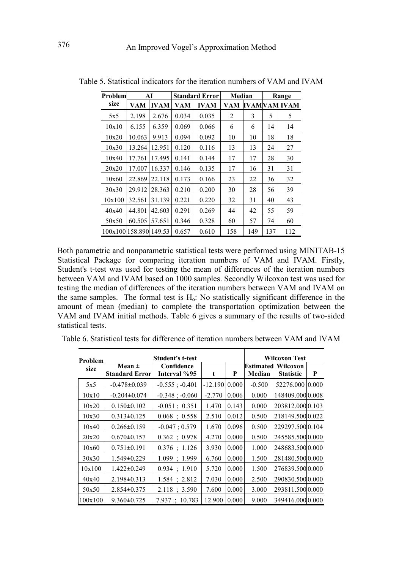| Problem         |        | AI          |       | <b>Standard Error</b> | Median         |     | Range |              |
|-----------------|--------|-------------|-------|-----------------------|----------------|-----|-------|--------------|
| size            | VAM    | <b>IVAM</b> | VAM   | <b>IVAM</b>           | VAM            |     |       | IVAMVAM IVAM |
| 5x5             | 2.198  | 2.676       | 0.034 | 0.035                 | $\overline{2}$ | 3   | 5     | 5            |
| 10x10           | 6.155  | 6.359       | 0.069 | 0.066                 | 6              | 6   | 14    | 14           |
| 10x20           | 10.063 | 9.913       | 0.094 | 0.092                 | 10             | 10  | 18    | 18           |
| 10x30           | 13.264 | 12.951      | 0.120 | 0.116                 | 13             | 13  | 24    | 27           |
| 10x40           | 17.761 | 17.495      | 0.141 | 0.144                 | 17             | 17  | 28    | 30           |
| 20x20           | 17.007 | 16.337      | 0.146 | 0.135                 | 17             | 16  | 31    | 31           |
| 10x60           | 22.869 | 22.118      | 0.173 | 0.166                 | 23             | 22  | 36    | 32           |
| 30x30           | 29.912 | 28.363      | 0.210 | 0.200                 | 30             | 28  | 56    | 39           |
| 10x100          | 32.561 | 31.139      | 0.221 | 0.220                 | 32             | 31  | 40    | 43           |
| 40x40           | 44.801 | 42.603      | 0.291 | 0.269                 | 44             | 42  | 55    | 59           |
| 50x50           | 60.505 | 57.651      | 0.346 | 0.328                 | 60             | 57  | 74    | 60           |
| 100x100l158.890 |        | 149.53      | 0.657 | 0.610                 | 158            | 149 | 137   | 112          |

Table 5. Statistical indicators for the iteration numbers of VAM and IVAM

Both parametric and nonparametric statistical tests were performed using MINITAB-15 Statistical Package for comparing iteration numbers of VAM and IVAM. Firstly, Student's t-test was used for testing the mean of differences of the iteration numbers between VAM and IVAM based on 1000 samples. Secondly Wilcoxon test was used for testing the median of differences of the iteration numbers between VAM and IVAM on the same samples. The formal test is  $H<sub>o</sub>$ : No statistically significant difference in the amount of mean (median) to complete the transportation optimization between the VAM and IVAM initial methods. Table 6 gives a summary of the results of two-sided statistical tests.

|  | Table 6. Statistical tests for difference of iteration numbers between VAM and IVAM |  |  |  |
|--|-------------------------------------------------------------------------------------|--|--|--|

| Problem |                                     | <b>Student's t-test</b>    |           |       | Wilcoxon Test |                                               |   |  |  |
|---------|-------------------------------------|----------------------------|-----------|-------|---------------|-----------------------------------------------|---|--|--|
| size    | Mean $\pm$<br><b>Standard Error</b> | Confidence<br>Interval %95 | t         | P     | Median        | <b>Estimated Wilcoxon</b><br><b>Statistic</b> | P |  |  |
| 5x5     | $-0.478 \pm 0.039$                  | $-0.555$ ; $-0.401$        | $-12.190$ | 0.000 | $-0.500$      | 52276.000 0.000                               |   |  |  |
| 10x10   | $-0.204\pm0.074$                    | $-0.348$ ; $-0.060$        | $-2.770$  | 0.006 | 0.000         | 148409.00010.008                              |   |  |  |
| 10x20   | $0.150 \pm 0.102$                   | $-0.051$ ; 0.351           | 1.470     | 0.143 | 0.000         | 203812.0000.103                               |   |  |  |
| 10x30   | $0.313\pm0.125$                     | 0.068 : 0.558              | 2.510     | 0.012 | 0.500         | 218149.500 0.022                              |   |  |  |
| 10x40   | $0.266 \pm 0.159$                   | $-0.047:0.579$             | 1.670     | 0.096 | 0.500         | 229297.500 0.104                              |   |  |  |
| 20x20   | $0.670 \pm 0.157$                   | $0.362 \div 0.978$         | 4.270     | 0.000 | 0.500         | 245585.5000.000                               |   |  |  |
| 10x60   | $0.751 \pm 0.191$                   | $0.376$ ; 1.126            | 3.930     | 0.000 | 1.000         | 248683.5000.000                               |   |  |  |
| 30x30   | $1.549\pm0.229$                     | $1.099$ ; 1.999            | 6.760     | 0.000 | 1.500         | 281480.5000.000                               |   |  |  |
| 10x100  | $1.422 \pm 0.249$                   | $0.934$ ; 1.910            | 5.720     | 0.000 | 1.500         | 276839.5000.000                               |   |  |  |
| 40x40   | $2.198\pm0.313$                     | $1.584 \div 2.812$         | 7.030     | 0.000 | 2.500         | 290830.5000.000                               |   |  |  |
| 50x50   | $2.854\pm0.375$                     | 2.118 : 3.590              | 7.600     | 0.000 | 3.000         | 293811.5000.000                               |   |  |  |
| 100x100 | $9.360 \pm 0.725$                   | 7.937 : 10.783             | 12.900    | 0.000 | 9.000         | 349416.0000.000                               |   |  |  |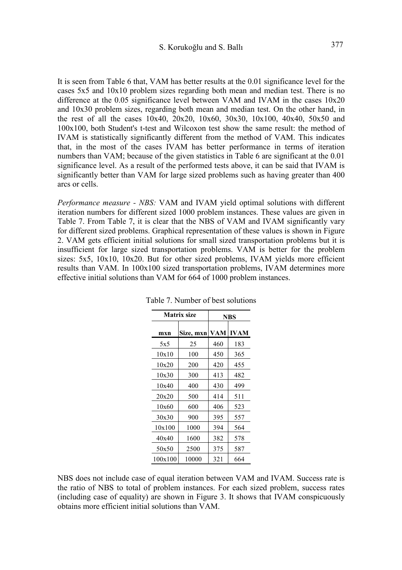It is seen from Table 6 that, VAM has better results at the 0.01 significance level for the cases 5x5 and 10x10 problem sizes regarding both mean and median test. There is no difference at the 0.05 significance level between VAM and IVAM in the cases 10x20 and 10x30 problem sizes, regarding both mean and median test. On the other hand, in the rest of all the cases  $10x40$ ,  $20x20$ ,  $10x60$ ,  $30x30$ ,  $10x100$ ,  $40x40$ ,  $50x50$  and 100x100, both Student's t-test and Wilcoxon test show the same result: the method of IVAM is statistically significantly different from the method of VAM. This indicates that, in the most of the cases IVAM has better performance in terms of iteration numbers than VAM; because of the given statistics in Table 6 are significant at the 0.01 significance level. As a result of the performed tests above, it can be said that IVAM is significantly better than VAM for large sized problems such as having greater than 400 arcs or cells.

Performance measure - NBS: VAM and IVAM yield optimal solutions with different iteration numbers for different sized 1000 problem instances. These values are given in Table 7. From Table 7, it is clear that the NBS of VAM and IVAM significantly vary for different sized problems. Graphical representation of these values is shown in Figure 2. VAM gets efficient initial solutions for small sized transportation problems but it is insufficient for large sized transportation problems. VAM is better for the problem sizes: 5x5, 10x10, 10x20. But for other sized problems, IVAM yields more efficient results than VAM. In 100x100 sized transportation problems, IVAM determines more effective initial solutions than VAM for 664 of 1000 problem instances.

|         | <b>Matrix size</b> |     | <b>NBS</b>  |  |
|---------|--------------------|-----|-------------|--|
| mxn     | Size, mxn          | VAM | <b>IVAM</b> |  |
| 5x5     | 25                 | 460 | 183         |  |
| 10x10   | 100                | 450 | 365         |  |
| 10x20   | 200                | 420 | 455         |  |
| 10x30   | 300                | 413 | 482         |  |
| 10x40   | 400                | 430 | 499         |  |
| 20x20   | 500                | 414 | 511         |  |
| 10x60   | 600                | 406 | 523         |  |
| 30x30   | 900                | 395 | 557         |  |
| 10x100  | 1000               | 394 | 564         |  |
| 40x40   | 1600               | 382 | 578         |  |
| 50x50   | 2500               | 375 | 587         |  |
| 100x100 | 10000              | 321 | 664         |  |

Table 7. Number of best solutions

NBS does not include case of equal iteration between VAM and IVAM. Success rate is the ratio of NBS to total of problem instances. For each sized problem, success rates (including case of equality) are shown in Figure 3. It shows that IVAM conspicuously obtains more efficient initial solutions than VAM.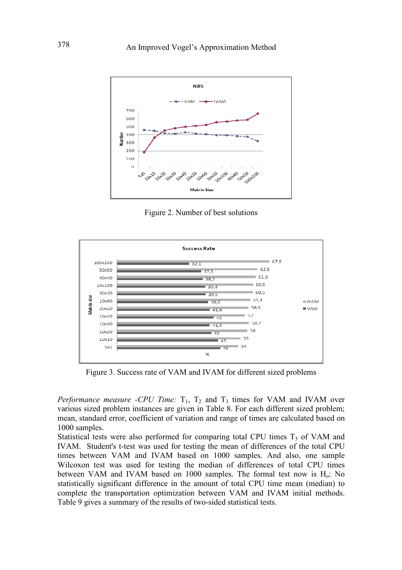

Figure 2. Number of best solutions



Figure 3. Success rate of VAM and IVAM for different sized problems

Performance measure -CPU Time:  $T_1$ ,  $T_2$  and  $T_3$  times for VAM and IVAM over various sized problem instances are given in Table 8. For each different sized problem; mean, standard error, coefficient of variation and range of times are calculated based on 1000 samples.

Statistical tests were also performed for comparing total CPU times  $T<sub>3</sub>$  of VAM and IVAM. Student's t-test was used for testing the mean of differences of the total CPU times between VAM and IVAM based on 1000 samples. And also, one sample Wilcoxon test was used for testing the median of differences of total CPU times between VAM and IVAM based on 1000 samples. The formal test now is  $H_0$ : No statistically significant difference in the amount of total CPU time mean (median) to complete the transportation optimization between VAM and IVAM initial methods. Table 9 gives a summary of the results of two-sided statistical tests.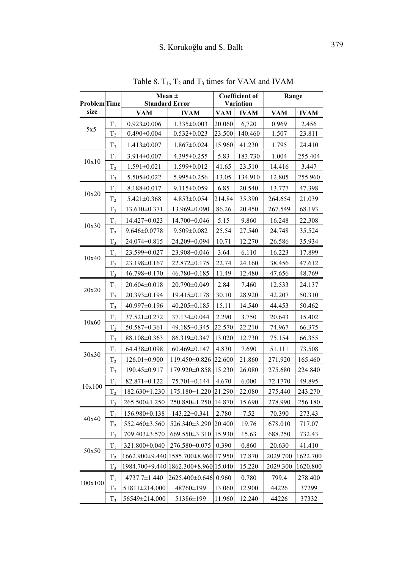|                     |                | Mean $\pm$                               |                                        |            | <b>Coefficient of</b> | Range      |             |  |
|---------------------|----------------|------------------------------------------|----------------------------------------|------------|-----------------------|------------|-------------|--|
| <b>Problem</b> Time |                | <b>Standard Error</b>                    |                                        |            | Variation             |            |             |  |
| size                |                | <b>VAM</b>                               | <b>IVAM</b>                            | <b>VAM</b> | <b>IVAM</b>           | <b>VAM</b> | <b>IVAM</b> |  |
| 5x5                 | $T_1$          | $0.923 \pm 0.006$                        | $1.335 \pm 0.003$                      | 20.060     | 6,720                 | 0.969      | 2.456       |  |
|                     | T <sub>2</sub> | $0.490 \pm 0.004$                        | $0.532 \pm 0.023$                      | 23.500     | 140.460               | 1.507      | 23.811      |  |
|                     | $T_3$          | $1.413 \pm 0.007$                        | $1.867 \pm 0.024$                      | 15.960     | 41.230                | 1.795      | 24.410      |  |
| 10x10               | $T_1$          | $3.914 \pm 0.007$                        | $4.395 \pm 0.255$                      | 5.83       | 183.730               | 1.004      | 255.404     |  |
|                     | T <sub>2</sub> | $1.591 \pm 0.021$                        | $1.599 \pm 0.012$                      | 41.65      | 23.510                | 14.416     | 3.447       |  |
|                     | $T_3$          | 5.505±0.022                              | $5.995 \pm 0.256$                      | 13.05      | 134.910               | 12.805     | 255.960     |  |
|                     | $T_1$          | $8.188 \pm 0.017$                        | $9.115 \pm 0.059$                      | 6.85       | 20.540                | 13.777     | 47.398      |  |
| 10x20               | T <sub>2</sub> | $5.421 \pm 0.368$                        | $4.853 \pm 0.054$                      | 214.84     | 35.390                | 264.654    | 21.039      |  |
|                     | $T_3$          | $13.610 \pm 0.371$                       | 13.969±0.090                           | 86.26      | 20.450                | 267.549    | 68.193      |  |
|                     | $T_{1}$        | $14.427 \pm 0.023$                       | 14.700±0.046                           | 5.15       | 9.860                 | 16.248     | 22.308      |  |
| 10x30               | T <sub>2</sub> | $9.646 \pm 0.0778$                       | $9.509 \pm 0.082$                      | 25.54      | 27.540                | 24.748     | 35.524      |  |
|                     | $T_3$          | 24.074±0.815                             | 24.209±0.094                           | 10.71      | 12.270                | 26.586     | 35.934      |  |
|                     | $T_1$          | 23.599±0.027                             | 23.908±0.046                           | 3.64       | 6.110                 | 16.223     | 17.899      |  |
| 10x40               | T <sub>2</sub> | 23.198±0.167                             | 22.872±0.175                           | 22.74      | 24.160                | 38.456     | 47.612      |  |
|                     | $T_3$          | $46.798 \pm 0.170$                       | 46.780±0.185                           | 11.49      | 12.480                | 47.656     | 48.769      |  |
| 20x20               | $T_1$          | $20.604 \pm 0.018$                       | 20.790±0.049                           | 2.84       | 7.460                 | 12.533     | 24.137      |  |
|                     | T <sub>2</sub> | $20.393 \pm 0.194$                       | $19.415 \pm 0.178$                     | 30.10      | 28.920                | 42.207     | 50.310      |  |
|                     | $T_3$          | $40.997 \pm 0.196$                       | $40.205 \pm 0.185$                     | 15.11      | 14.540                | 44.453     | 50.462      |  |
|                     | $T_1$          | 37.521±0.272                             | 37.134±0.044                           | 2.290      | 3.750                 | 20.643     | 15.402      |  |
| 10x60               | T <sub>2</sub> | 50.587±0.361                             | 49.185 ± 0.345                         | 22.570     | 22.210                | 74.967     | 66.375      |  |
|                     | $T_3$          | 88.108±0.363                             | 86.319±0.347                           | 13.020     | 12.730                | 75.154     | 66.355      |  |
|                     | $T_1$          | 64.438±0.098                             | 60.469±0.147                           | 4.830      | 7.690                 | 51.111     | 73.508      |  |
|                     | $\rm T_2$      | $126.01 \pm 0.900$                       | 119.450±0.826                          | 22.600     | 21.860                | 271.920    | 165.460     |  |
| 30x30               | $T_3$          | 190.45±0.917                             | $179.920 \pm 0.858$                    | 15.230     | 26.080                | 275.680    | 224.840     |  |
|                     | $T_1$          | 82.871±0.122                             | 75.701±0.144                           | 4.670      | 6.000                 | 72.1770    | 49.895      |  |
| 10x100              | T <sub>2</sub> |                                          | 182.630±1.230   175.180±1.220   21.290 |            | 22.080                | 275.440    | 243.270     |  |
|                     | $T_3$          | 265.500±1.250                            | $250.880 \pm 1.250$                    | 14.870     | 15.690                | 278.990    | 256.180     |  |
|                     | $T_1$          | $156.980\pm0.138$                        | $143.22 \pm 0.341$                     | 2.780      | 7.52                  | 70.390     | 273.43      |  |
| 40x40               | T <sub>2</sub> | $552.460 \pm 3.560$                      | $526.340 \pm 3.290$                    | 20.400     | 19.76                 | 678.010    | 717.07      |  |
|                     | $T_3$          | 709.403±3.570                            | 669.550±3.310                          | 15.930     | 15.63                 | 688.250    | 732.43      |  |
|                     | $\rm T_1$      | 321.800±0.040                            | $276.580 \pm 0.075$                    | 0.390      | 0.860                 | 20.630     | 41.410      |  |
| 50x50               | T <sub>2</sub> |                                          | 1662.900±9.440 1585.700±8.960 17.950   |            | 17.870                | 2029.700   | 1622.700    |  |
|                     | T <sub>3</sub> | 1984.700±9.440   1862.300±8.960   15.040 |                                        |            | 15.220                | 2029.300   | 1620.800    |  |
|                     | $T_1$          | $4737.7 \pm 1.440$                       | 2625.400±0.646                         | 0.960      | 0.780                 | 799.4      | 278.400     |  |
| 100x100             | T <sub>2</sub> | 51811±214.000                            | 48760±199                              | 13.060     | 12.900                | 44226      | 37299       |  |
|                     | $T_3$          | 56549±214.000                            | 51386±199                              | 11.960     | 12.240                | 44226      | 37332       |  |

Table 8.  $T_1$ ,  $T_2$  and  $T_3$  times for VAM and IVAM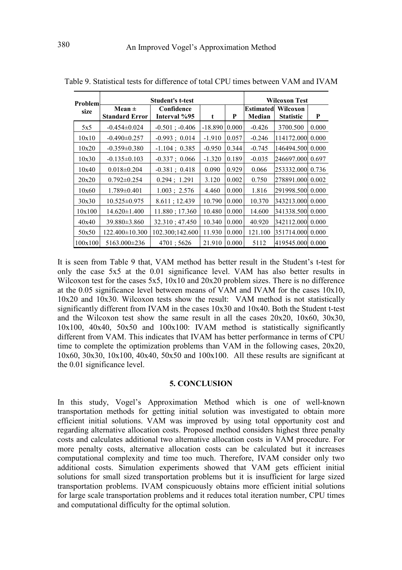| Problem |                                     | <b>Student's t-test</b>    |           |       | <b>Wilcoxon Test</b>       |                              |       |  |  |
|---------|-------------------------------------|----------------------------|-----------|-------|----------------------------|------------------------------|-------|--|--|
| size    | Mean $\pm$<br><b>Standard Error</b> | Confidence<br>Interval %95 | t         | P     | <b>Estimated</b><br>Median | Wilcoxon<br><b>Statistic</b> | P     |  |  |
| 5x5     | $-0.454\pm0.024$                    | $-0.501$ ; $-0.406$        | $-18.890$ | 0.000 | $-0.426$                   | 3700.500                     | 0.000 |  |  |
| 10x10   | $-0.490 \pm 0.257$                  | $-0.993 \div 0.014$        | $-1.910$  | 0.057 | $-0.246$                   | 114172,000 0.000             |       |  |  |
| 10x20   | $-0.359 \pm 0.380$                  | $-1.104 \; ; \; 0.385$     | $-0.950$  | 0.344 | $-0.745$                   | 146494.500 0.000             |       |  |  |
| 10x30   | $-0.135\pm0.103$                    | $-0.337; 0.066$            | $-1.320$  | 0.189 | $-0.035$                   | 246697.000  0.697            |       |  |  |
| 10x40   | $0.018 \pm 0.204$                   | $-0.381$ ; 0.418           | 0.090     | 0.929 | 0.066                      | 253332.000  0.736            |       |  |  |
| 20x20   | $0.792 \pm 0.254$                   | 0.294; 1.291               | 3.120     | 0.002 | 0.750                      | 278891.000  0.002            |       |  |  |
| 10x60   | $1.789 \pm 0.401$                   | 1.003 : 2.576              | 4.460     | 0.000 | 1.816                      | 291998.500 0.000             |       |  |  |
| 30x30   | $10.525 \pm 0.975$                  | $8.611$ ; 12.439           | 10.790    | 0.000 | 10.370                     | 343213,000 0.000             |       |  |  |
| 10x100  | $14.620 \pm 1.400$                  | 11.880; 17.360             | 10.480    | 0.000 | 14.600                     | 341338.500 0.000             |       |  |  |
| 40x40   | $39.880\pm3.860$                    | 32.310; 47.450             | 10.340    | 0.000 | 40.920                     | 342112.000 0.000             |       |  |  |
| 50x50   | $122.400 \pm 10.300$                | 102.300;142.600            | 11.930    | 0.000 | 121.100                    | 351714,000 0.000             |       |  |  |
| 100x100 | 5163.000±236                        | 4701;5626                  | 21.910    | 0.000 | 5112                       | 419545.000 0.000             |       |  |  |

Table 9. Statistical tests for difference of total CPU times between VAM and IVAM

It is seen from Table 9 that, VAM method has better result in the Student's t-test for only the case 5x5 at the 0.01 significance level. VAM has also better results in Wilcoxon test for the cases 5x5,  $10x10$  and  $20x20$  problem sizes. There is no difference at the 0.05 significance level between means of VAM and IVAM for the cases 10x10, 10x20 and 10x30. Wilcoxon tests show the result: VAM method is not statistically significantly different from IVAM in the cases 10x30 and 10x40. Both the Student t-test and the Wilcoxon test show the same result in all the cases 20x20, 10x60, 30x30, 10x100, 40x40, 50x50 and 100x100: IVAM method is statistically significantly different from VAM. This indicates that IVAM has better performance in terms of CPU time to complete the optimization problems than VAM in the following cases, 20x20, 10x60, 30x30, 10x100, 40x40, 50x50 and 100x100. All these results are significant at the 0.01 significance level.

#### 5. CONCLUSION

In this study, Vogel's Approximation Method which is one of well-known transportation methods for getting initial solution was investigated to obtain more efficient initial solutions. VAM was improved by using total opportunity cost and regarding alternative allocation costs. Proposed method considers highest three penalty costs and calculates additional two alternative allocation costs in VAM procedure. For more penalty costs, alternative allocation costs can be calculated but it increases computational complexity and time too much. Therefore, IVAM consider only two additional costs. Simulation experiments showed that VAM gets efficient initial solutions for small sized transportation problems but it is insufficient for large sized transportation problems. IVAM conspicuously obtains more efficient initial solutions for large scale transportation problems and it reduces total iteration number, CPU times and computational difficulty for the optimal solution.